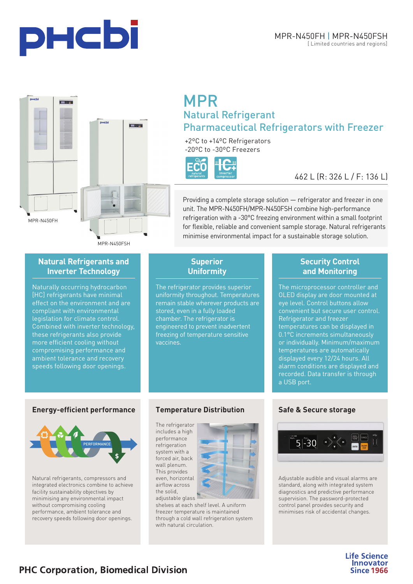





# **Natural Refrigerants and Inverter Technology**

Naturally occurring hydrocarbon [HC] refrigerants have minimal effect on the environment and are compliant with environmental legislation for climate control. Combined with inverter technology, these refrigerants also provide more efficient cooling without compromising performance and ambient tolerance and recovery speeds following door openings.

# **MPR Natural Refrigerant** Pharmaceutical Refrigerators with Freezer

+2<sup>o</sup>C to +14<sup>o</sup>C Refrigerators -20ºC to -30ºC Freezers



# 462 L (R: 326 L / F: 136 L)

Providing a complete storage solution — refrigerator and freezer in one unit. The MPR-N450FH/MPR-N450FSH combine high-performance refrigeration with a -30°C freezing environment within a small footprint for flexible, reliable and convenient sample storage. Natural refrigerants minimise environmental impact for a sustainable storage solution.

# **Superior Uniformity**

The refrigerator provides superior uniformity throughout. Temperatures remain stable wherever products are stored, even in a fully loaded chamber. The refrigerator is engineered to prevent inadvertent freezing of temperature sensitive vaccines.

# **Security Control and Monitoring**

The microprocessor controller and OLED display are door mounted at eye level. Control buttons allow convenient but secure user control. Refrigerator and freezer temperatures can be displayed in 0.1°C increments simultaneously or individually. Minimum/maximum temperatures are automatically displayed every 12/24 hours. All alarm conditions are displayed and recorded. Data transfer is through a USB port.

## **Energy-efficient performance**



Natural refrigerants, compressors and integrated electronics combine to achieve facility sustainability objectives by minimising any environmental impact without compromising cooling performance, ambient tolerance and recovery speeds following door openings.

# **Temperature Distribution**

The refrigerator includes a high performance refrigeration system with a forced air, back wall plenum. This provides even, horizontal airflow across the solid, adjustable glass



shelves at each shelf level. A uniform freezer temperature is maintained through a cold wall refrigeration system with natural circulation.

# **Safe & Secure storage**



Adjustable audible and visual alarms are standard, along with integrated system diagnostics and predictive performance supervision. The password-protected control panel provides security and minimises risk of accidental changes.

> **Life Science Innovator Since 1966**

# **PHC Corporation, Biomedical Division**